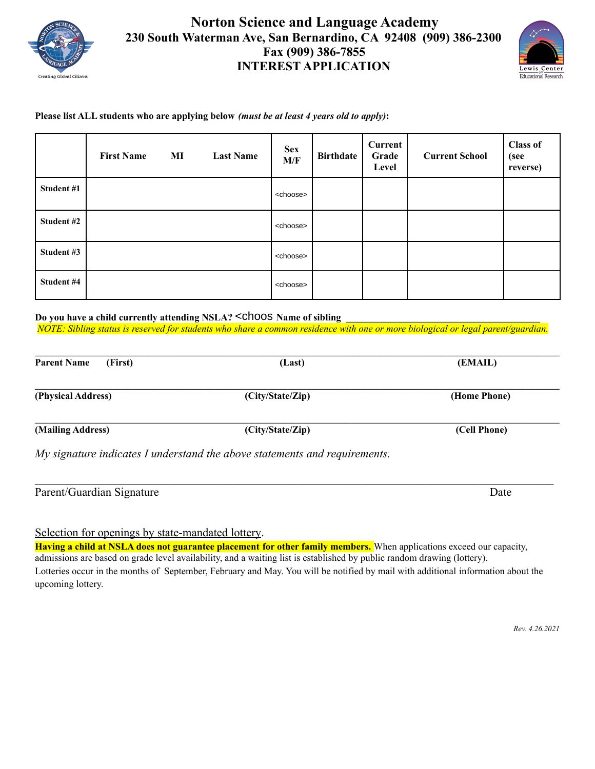

## **Norton Science and Language Academy 230 South Waterman Ave, San Bernardino, CA 92408 (909) 386-2300 Fax (909) 386-7855 INTEREST APPLICATION**



## **Please list ALL students who are applying below** *(must be at least 4 years old to apply)***:**

|            | <b>First Name</b> | MI | <b>Last Name</b> | <b>Sex</b><br>M/F | <b>Birthdate</b> | <b>Current</b><br>Grade<br>Level | <b>Current School</b> | <b>Class of</b><br>(see<br>reverse) |
|------------|-------------------|----|------------------|-------------------|------------------|----------------------------------|-----------------------|-------------------------------------|
| Student #1 |                   |    |                  | <choose></choose> |                  |                                  |                       |                                     |
| Student #2 |                   |    |                  | <choose></choose> |                  |                                  |                       |                                     |
| Student #3 |                   |    |                  | <choose></choose> |                  |                                  |                       |                                     |
| Student #4 |                   |    |                  | <choose></choose> |                  |                                  |                       |                                     |

**Do you have a child currently attending NSLA? \_\_\_\_\_\_\_\_ Name of sibling \_\_\_\_\_\_\_\_\_\_\_\_\_\_\_\_\_\_\_\_\_\_\_\_\_\_\_\_\_\_\_\_\_\_\_\_\_\_\_\_** <choose>*NOTE: Sibling status is reserved for students who share a common residence with one or more biological or legal parent/guardian.*

| <b>Parent Name</b><br>(First) | (Last)                                                                     | (EMAIL)      |
|-------------------------------|----------------------------------------------------------------------------|--------------|
| (Physical Address)            | (City/State/Zip)                                                           | (Home Phone) |
| (Mailing Address)             | (City/State/Zip)                                                           | (Cell Phone) |
|                               | My signature indicates I understand the above statements and requirements. |              |

| Parent/Guardian Signature | <b>Date</b> |
|---------------------------|-------------|

Selection for openings by state-mandated lottery.

**Having a child at NSLA does not guarantee placement for other family members.** When applications exceed our capacity, admissions are based on grade level availability, and a waiting list is established by public random drawing (lottery). Lotteries occur in the months of September, February and May. You will be notified by mail with additional information about the upcoming lottery.

*Rev. 4.26.2021*